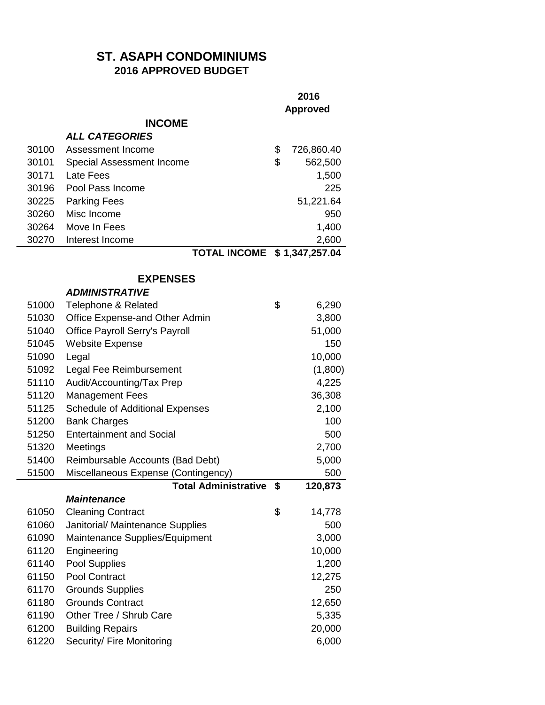## **ST. ASAPH CONDOMINIUMS 2016 APPROVED BUDGET**

|       |                                        | 2016<br><b>Approved</b> |            |
|-------|----------------------------------------|-------------------------|------------|
|       | <b>INCOME</b>                          |                         |            |
|       | <b>ALL CATEGORIES</b>                  |                         |            |
| 30100 | Assessment Income                      | \$                      | 726,860.40 |
| 30101 | Special Assessment Income              | \$                      | 562,500    |
| 30171 | <b>Late Fees</b>                       |                         | 1,500      |
| 30196 | Pool Pass Income                       |                         | 225        |
| 30225 | <b>Parking Fees</b>                    |                         | 51,221.64  |
| 30260 | Misc Income                            |                         | 950        |
| 30264 | Move In Fees                           |                         | 1,400      |
| 30270 | Interest Income                        |                         | 2,600      |
|       | TOTAL INCOME \$1,347,257.04            |                         |            |
|       | <b>EXPENSES</b>                        |                         |            |
|       | <b>ADMINISTRATIVE</b>                  |                         |            |
| 51000 | <b>Telephone &amp; Related</b>         | \$                      | 6,290      |
| 51030 | Office Expense-and Other Admin         |                         | 3,800      |
| 51040 | Office Payroll Serry's Payroll         |                         | 51,000     |
| 51045 | <b>Website Expense</b>                 |                         | 150        |
| 51090 | Legal                                  |                         | 10,000     |
| 51092 | Legal Fee Reimbursement                |                         | (1,800)    |
| 51110 | Audit/Accounting/Tax Prep              |                         | 4,225      |
| 51120 | <b>Management Fees</b>                 |                         | 36,308     |
| 51125 | <b>Schedule of Additional Expenses</b> |                         | 2,100      |
| 51200 | <b>Bank Charges</b>                    |                         | 100        |
| 51250 | <b>Entertainment and Social</b>        |                         | 500        |
| 51320 | Meetings                               |                         | 2,700      |
| 51400 | Reimbursable Accounts (Bad Debt)       |                         | 5,000      |
| 51500 | Miscellaneous Expense (Contingency)    |                         | 500        |
|       | <b>Total Administrative</b>            | \$                      | 120,873    |
|       | <b>Maintenance</b>                     |                         |            |
| 61050 | <b>Cleaning Contract</b>               | \$                      | 14,778     |
| 61060 | Janitorial/ Maintenance Supplies       |                         | 500        |
| 61090 | Maintenance Supplies/Equipment         |                         | 3,000      |
| 61120 | Engineering                            |                         | 10,000     |
| 61140 | Pool Supplies                          |                         | 1,200      |
| 61150 | Pool Contract                          |                         | 12,275     |
| 61170 | <b>Grounds Supplies</b>                |                         | 250        |
| 61180 | <b>Grounds Contract</b>                |                         | 12,650     |
| 61190 | Other Tree / Shrub Care                |                         | 5,335      |
| 61200 | <b>Building Repairs</b>                |                         | 20,000     |
| 61220 | Security/ Fire Monitoring              |                         | 6,000      |